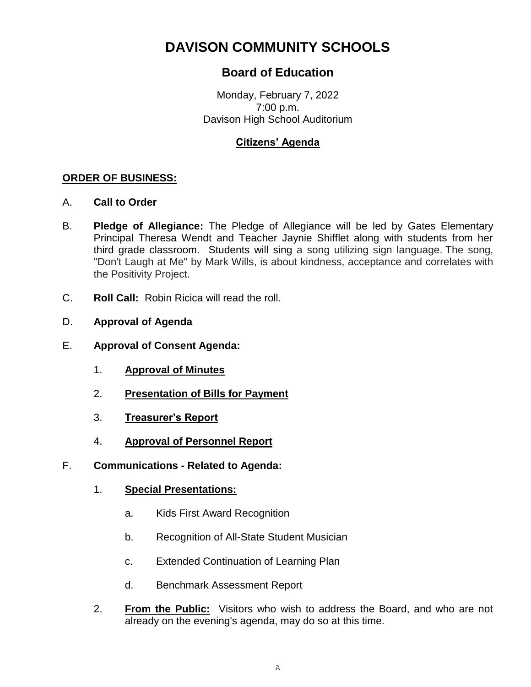# **DAVISON COMMUNITY SCHOOLS**

## **Board of Education**

Monday, February 7, 2022 7:00 p.m. Davison High School Auditorium

### **Citizens' Agenda**

#### **ORDER OF BUSINESS:**

- A. **Call to Order**
- B. **Pledge of Allegiance:** The Pledge of Allegiance will be led by Gates Elementary Principal Theresa Wendt and Teacher Jaynie Shifflet along with students from her third grade classroom. Students will sing a song utilizing sign language. The song, "Don't Laugh at Me" by Mark Wills, is about kindness, acceptance and correlates with the Positivity Project.
- C. **Roll Call:** Robin Ricica will read the roll.
- D. **Approval of Agenda**
- E. **Approval of Consent Agenda:**
	- 1. **Approval of Minutes**
	- 2. **Presentation of Bills for Payment**
	- 3. **Treasurer's Report**
	- 4. **Approval of Personnel Report**
- F. **Communications - Related to Agenda:**
	- 1. **Special Presentations:**
		- a. Kids First Award Recognition
		- b. Recognition of All-State Student Musician
		- c. Extended Continuation of Learning Plan
		- d. Benchmark Assessment Report
	- 2. **From the Public:** Visitors who wish to address the Board, and who are not already on the evening's agenda, may do so at this time.